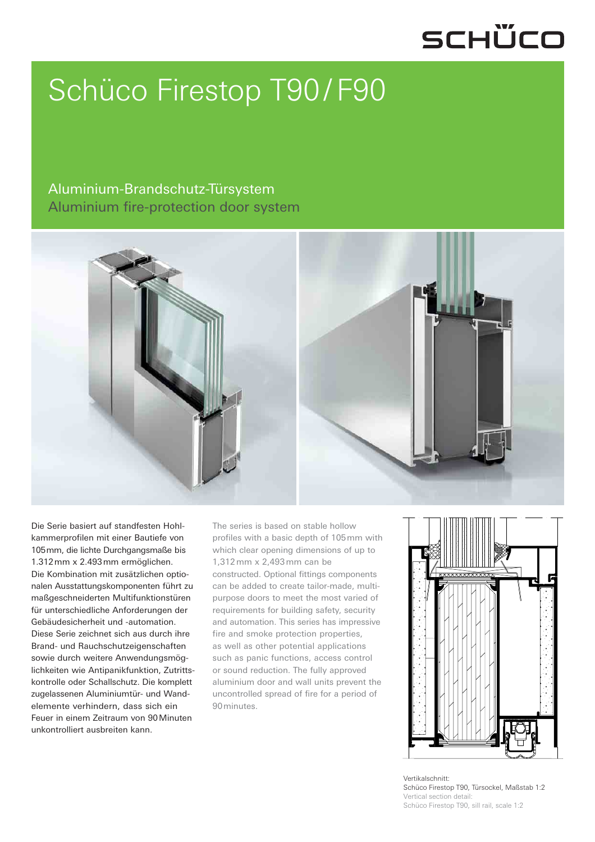## SCHÜCO

## Schüco Firestop T90 / F90

#### Aluminium-Brandschutz-Türsystem Aluminium fire-protection door system



Die Serie basiert auf standfesten Hohlkammerprofilen mit einer Bautiefe von 105 mm, die lichte Durchgangsmaße bis 1.312 mm x 2.493 mm ermöglichen. Die Kombination mit zusätzlichen optionalen Ausstattungskomponenten führt zu maßgeschneiderten Multifunktionstüren für unterschiedliche Anforderungen der Gebäudesicherheit und -automation. Diese Serie zeichnet sich aus durch ihre Brand- und Rauchschutzeigenschaften sowie durch weitere Anwendungsmöglichkeiten wie Antipanikfunktion, Zutrittskontrolle oder Schallschutz. Die komplett zugelassenen Aluminiumtür- und Wandelemente verhindern, dass sich ein Feuer in einem Zeitraum von 90 Minuten unkontrolliert ausbreiten kann.

The series is based on stable hollow profiles with a basic depth of 105 mm with which clear opening dimensions of up to 1,312 mm x 2,493 mm can be constructed. Optional fittings components can be added to create tailor-made, multipurpose doors to meet the most varied of requirements for building safety, security and automation. This series has impressive fire and smoke protection properties, as well as other potential applications such as panic functions, access control or sound reduction. The fully approved aluminium door and wall units prevent the uncontrolled spread of fire for a period of 90 minutes.



Vertikalschnitt: Schüco Firestop T90, Türsockel, Maßstab 1:2 Vertical section detail: Schüco Firestop T90, sill rail, scale 1:2